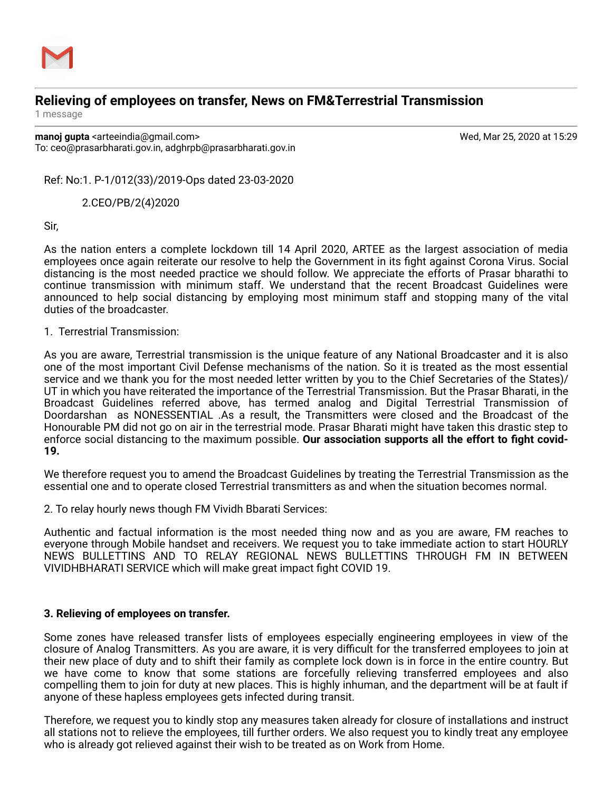

## **Relieving of employees on transfer, News on FM&Terrestrial Transmission**

1 message

**manoj gupta** <arteeindia@gmail.com> Wed, Mar 25, 2020 at 15:29 To: ceo@prasarbharati.gov.in, adghrpb@prasarbharati.gov.in

Ref: No:1. P-1/012(33)/2019-Ops dated 23-03-2020

2.CEO/PB/2(4)2020

Sir,

As the nation enters a complete lockdown till 14 April 2020, ARTEE as the largest association of media employees once again reiterate our resolve to help the Government in its fight against Corona Virus. Social distancing is the most needed practice we should follow. We appreciate the efforts of Prasar bharathi to continue transmission with minimum staff. We understand that the recent Broadcast Guidelines were announced to help social distancing by employing most minimum staff and stopping many of the vital duties of the broadcaster.

1. Terrestrial Transmission:

As you are aware, Terrestrial transmission is the unique feature of any National Broadcaster and it is also one of the most important Civil Defense mechanisms of the nation. So it is treated as the most essential service and we thank you for the most needed letter written by you to the Chief Secretaries of the States)/ UT in which you have reiterated the importance of the Terrestrial Transmission. But the Prasar Bharati, in the Broadcast Guidelines referred above, has termed analog and Digital Terrestrial Transmission of Doordarshan as NONESSENTIAL .As a result, the Transmitters were closed and the Broadcast of the Honourable PM did not go on air in the terrestrial mode. Prasar Bharati might have taken this drastic step to enforce social distancing to the maximum possible. **Our association supports all the effort to fight covid-19.**

We therefore request you to amend the Broadcast Guidelines by treating the Terrestrial Transmission as the essential one and to operate closed Terrestrial transmitters as and when the situation becomes normal.

2. To relay hourly news though FM Vividh Bbarati Services:

Authentic and factual information is the most needed thing now and as you are aware, FM reaches to everyone through Mobile handset and receivers. We request you to take immediate action to start HOURLY NEWS BULLETTINS AND TO RELAY REGIONAL NEWS BULLETTINS THROUGH FM IN BETWEEN VIVIDHBHARATI SERVICE which will make great impact fight COVID 19.

## **3. Relieving of employees on transfer.**

Some zones have released transfer lists of employees especially engineering employees in view of the closure of Analog Transmitters. As you are aware, it is very difficult for the transferred employees to join at their new place of duty and to shift their family as complete lock down is in force in the entire country. But we have come to know that some stations are forcefully relieving transferred employees and also compelling them to join for duty at new places. This is highly inhuman, and the department will be at fault if anyone of these hapless employees gets infected during transit.

Therefore, we request you to kindly stop any measures taken already for closure of installations and instruct all stations not to relieve the employees, till further orders. We also request you to kindly treat any employee who is already got relieved against their wish to be treated as on Work from Home.